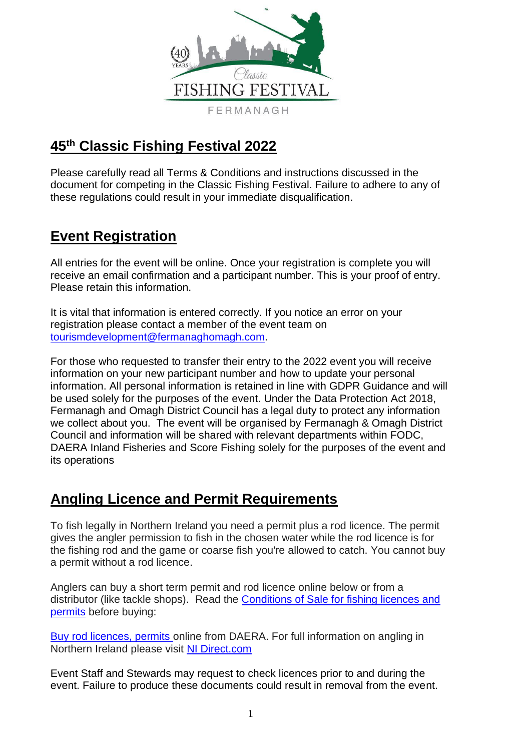

# **45th Classic Fishing Festival 2022**

Please carefully read all Terms & Conditions and instructions discussed in the document for competing in the Classic Fishing Festival. Failure to adhere to any of these regulations could result in your immediate disqualification.

## **Event Registration**

All entries for the event will be online. Once your registration is complete you will receive an email confirmation and a participant number. This is your proof of entry. Please retain this information.

It is vital that information is entered correctly. If you notice an error on your registration please contact a member of the event team on [tourismdevelopment@fermanaghomagh.com.](mailto:tourismdevelopment@fermanaghomagh.com)

For those who requested to transfer their entry to the 2022 event you will receive information on your new participant number and how to update your personal information. All personal information is retained in line with GDPR Guidance and will be used solely for the purposes of the event. Under the Data Protection Act 2018, Fermanagh and Omagh District Council has a legal duty to protect any information we collect about you. The event will be organised by Fermanagh & Omagh District Council and information will be shared with relevant departments within FODC, DAERA Inland Fisheries and Score Fishing solely for the purposes of the event and its operations

### **Angling Licence and Permit Requirements**

To fish legally in Northern Ireland you need a permit plus a rod licence. The permit gives the angler permission to fish in the chosen water while the rod licence is for the fishing rod and the game or coarse fish you're allowed to catch. You cannot buy a permit without a rod licence.

Anglers can buy a short term permit and rod licence online below or from a distributor (like tackle shops). Read the [Conditions of Sale for fishing licences and](https://www.nidirect.gov.uk/articles/conditions-sale-fishing-licences-and-permits)  [permits](https://www.nidirect.gov.uk/articles/conditions-sale-fishing-licences-and-permits) before buying:

[Buy rod licences, permits o](https://www.nidirect.gov.uk/services/buy-rod-licences-permits-and-river-bush-day-tickets)nline from DAERA. For full information on angling in Northern Ireland please visit [NI Direct.com](https://www.nidirect.gov.uk/information-and-services/outdoor-recreation/angling)

Event Staff and Stewards may request to check licences prior to and during the event. Failure to produce these documents could result in removal from the event.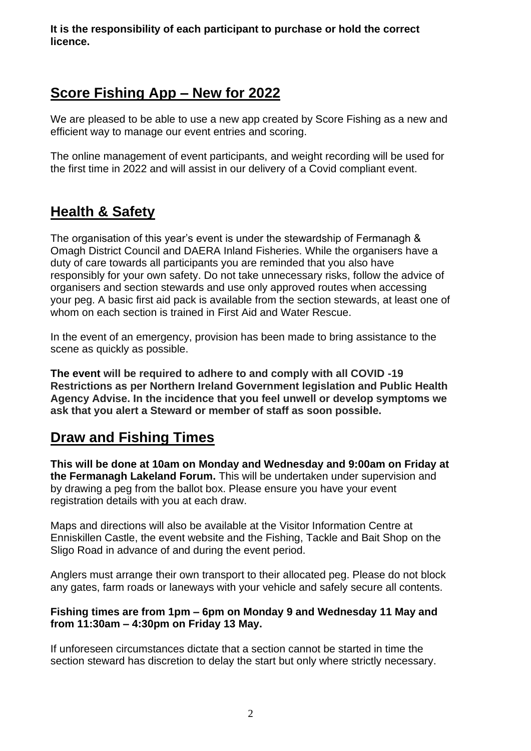**It is the responsibility of each participant to purchase or hold the correct licence.** 

### **Score Fishing App – New for 2022**

We are pleased to be able to use a new app created by Score Fishing as a new and efficient way to manage our event entries and scoring.

The online management of event participants, and weight recording will be used for the first time in 2022 and will assist in our delivery of a Covid compliant event.

### **Health & Safety**

The organisation of this year's event is under the stewardship of Fermanagh & Omagh District Council and DAERA Inland Fisheries. While the organisers have a duty of care towards all participants you are reminded that you also have responsibly for your own safety. Do not take unnecessary risks, follow the advice of organisers and section stewards and use only approved routes when accessing your peg. A basic first aid pack is available from the section stewards, at least one of whom on each section is trained in First Aid and Water Rescue.

In the event of an emergency, provision has been made to bring assistance to the scene as quickly as possible.

**The event will be required to adhere to and comply with all COVID -19 Restrictions as per Northern Ireland Government legislation and Public Health Agency Advise. In the incidence that you feel unwell or develop symptoms we ask that you alert a Steward or member of staff as soon possible.** 

### **Draw and Fishing Times**

**This will be done at 10am on Monday and Wednesday and 9:00am on Friday at the Fermanagh Lakeland Forum.** This will be undertaken under supervision and by drawing a peg from the ballot box. Please ensure you have your event registration details with you at each draw.

Maps and directions will also be available at the Visitor Information Centre at Enniskillen Castle, the event website and the Fishing, Tackle and Bait Shop on the Sligo Road in advance of and during the event period.

Anglers must arrange their own transport to their allocated peg. Please do not block any gates, farm roads or laneways with your vehicle and safely secure all contents.

#### **Fishing times are from 1pm – 6pm on Monday 9 and Wednesday 11 May and from 11:30am – 4:30pm on Friday 13 May.**

If unforeseen circumstances dictate that a section cannot be started in time the section steward has discretion to delay the start but only where strictly necessary.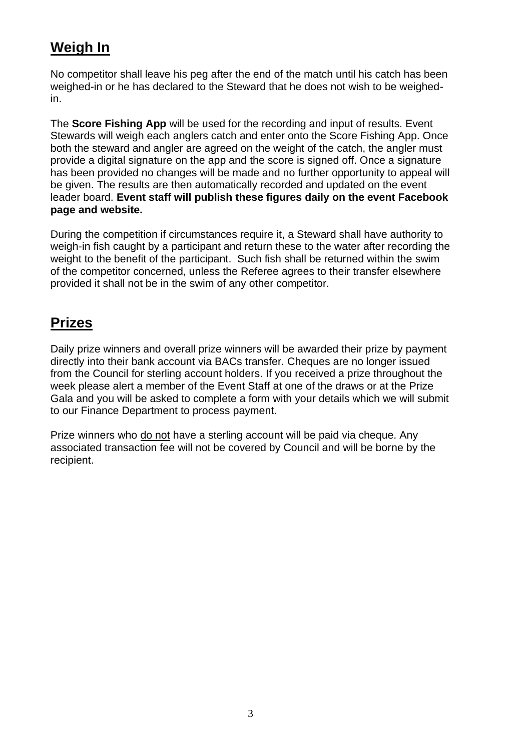# **Weigh In**

No competitor shall leave his peg after the end of the match until his catch has been weighed-in or he has declared to the Steward that he does not wish to be weighedin.

The **Score Fishing App** will be used for the recording and input of results. Event Stewards will weigh each anglers catch and enter onto the Score Fishing App. Once both the steward and angler are agreed on the weight of the catch, the angler must provide a digital signature on the app and the score is signed off. Once a signature has been provided no changes will be made and no further opportunity to appeal will be given. The results are then automatically recorded and updated on the event leader board. **Event staff will publish these figures daily on the event Facebook page and website.**

During the competition if circumstances require it, a Steward shall have authority to weigh-in fish caught by a participant and return these to the water after recording the weight to the benefit of the participant. Such fish shall be returned within the swim of the competitor concerned, unless the Referee agrees to their transfer elsewhere provided it shall not be in the swim of any other competitor.

## **Prizes**

Daily prize winners and overall prize winners will be awarded their prize by payment directly into their bank account via BACs transfer. Cheques are no longer issued from the Council for sterling account holders. If you received a prize throughout the week please alert a member of the Event Staff at one of the draws or at the Prize Gala and you will be asked to complete a form with your details which we will submit to our Finance Department to process payment.

Prize winners who do not have a sterling account will be paid via cheque. Any associated transaction fee will not be covered by Council and will be borne by the recipient.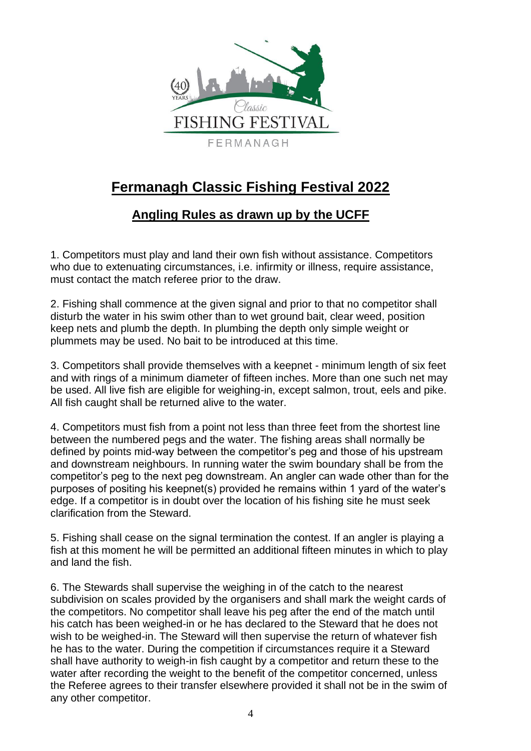

# **Fermanagh Classic Fishing Festival 2022**

### **Angling Rules as drawn up by the UCFF**

1. Competitors must play and land their own fish without assistance. Competitors who due to extenuating circumstances, i.e. infirmity or illness, require assistance, must contact the match referee prior to the draw.

2. Fishing shall commence at the given signal and prior to that no competitor shall disturb the water in his swim other than to wet ground bait, clear weed, position keep nets and plumb the depth. In plumbing the depth only simple weight or plummets may be used. No bait to be introduced at this time.

3. Competitors shall provide themselves with a keepnet - minimum length of six feet and with rings of a minimum diameter of fifteen inches. More than one such net may be used. All live fish are eligible for weighing-in, except salmon, trout, eels and pike. All fish caught shall be returned alive to the water.

4. Competitors must fish from a point not less than three feet from the shortest line between the numbered pegs and the water. The fishing areas shall normally be defined by points mid-way between the competitor's peg and those of his upstream and downstream neighbours. In running water the swim boundary shall be from the competitor's peg to the next peg downstream. An angler can wade other than for the purposes of positing his keepnet(s) provided he remains within 1 yard of the water's edge. If a competitor is in doubt over the location of his fishing site he must seek clarification from the Steward.

5. Fishing shall cease on the signal termination the contest. If an angler is playing a fish at this moment he will be permitted an additional fifteen minutes in which to play and land the fish.

6. The Stewards shall supervise the weighing in of the catch to the nearest subdivision on scales provided by the organisers and shall mark the weight cards of the competitors. No competitor shall leave his peg after the end of the match until his catch has been weighed-in or he has declared to the Steward that he does not wish to be weighed-in. The Steward will then supervise the return of whatever fish he has to the water. During the competition if circumstances require it a Steward shall have authority to weigh-in fish caught by a competitor and return these to the water after recording the weight to the benefit of the competitor concerned, unless the Referee agrees to their transfer elsewhere provided it shall not be in the swim of any other competitor.